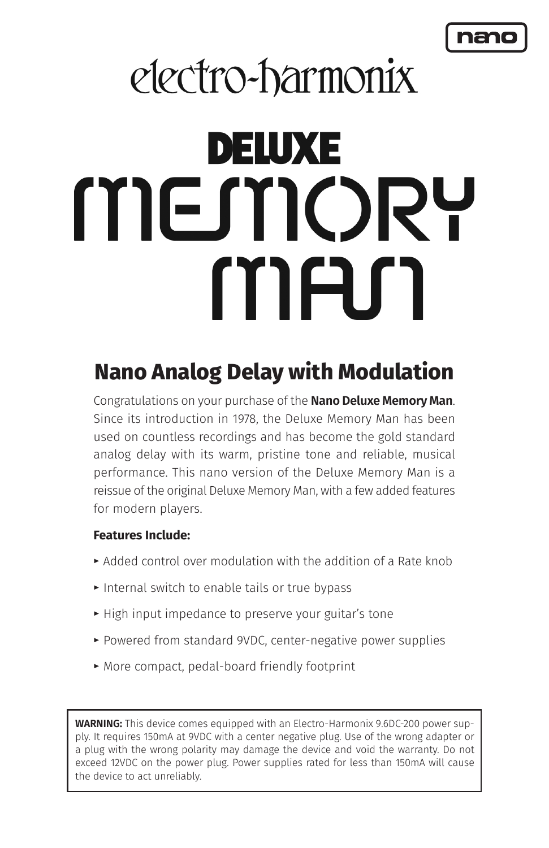# electro-harmonix

# DELUXE MEMORT MAN

# **Nano Analog Delay with Modulation**

Congratulations on your purchase of the **Nano Deluxe Memory Man**. Since its introduction in 1978, the Deluxe Memory Man has been used on countless recordings and has become the gold standard analog delay with its warm, pristine tone and reliable, musical performance. This nano version of the Deluxe Memory Man is a reissue of the original Deluxe Memory Man, with a few added features for modern players.

## **Features Include:**

- **t** Added control over modulation with the addition of a Rate knob
- ► Internal switch to enable tails or true bypass
- **t** High input impedance to preserve your guitar's tone
- **t** Powered from standard 9VDC, center-negative power supplies
- **t** More compact, pedal-board friendly footprint

**WARNING:** This device comes equipped with an Electro-Harmonix 9.6DC-200 power supply. It requires 150mA at 9VDC with a center negative plug. Use of the wrong adapter or a plug with the wrong polarity may damage the device and void the warranty. Do not exceed 12VDC on the power plug. Power supplies rated for less than 150mA will cause the device to act unreliably.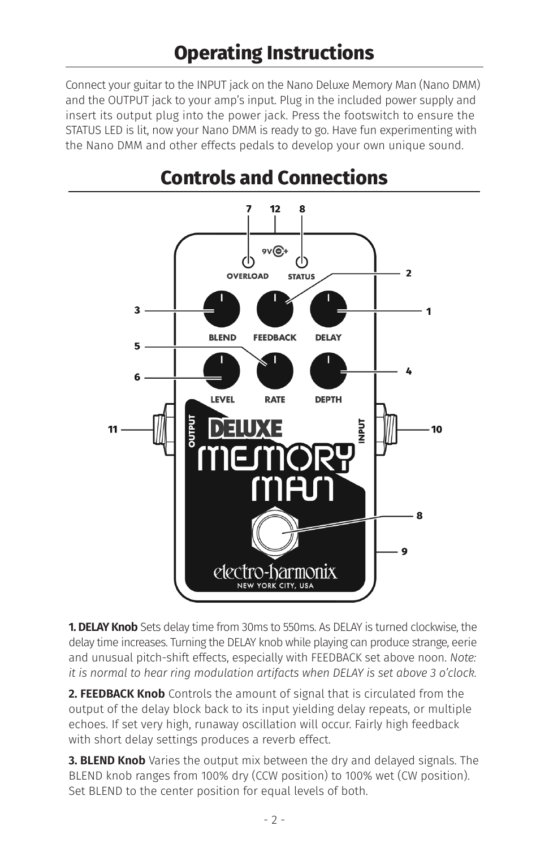Connect your guitar to the INPUT jack on the Nano Deluxe Memory Man (Nano DMM) and the OUTPUT jack to your amp's input. Plug in the included power supply and insert its output plug into the power jack. Press the footswitch to ensure the STATUS LED is lit, now your Nano DMM is ready to go. Have fun experimenting with the Nano DMM and other effects pedals to develop your own unique sound.



# **Controls and Connections**

**1. DELAY Knob** Sets delay time from 30ms to 550ms. As DELAY is turned clockwise, the delay time increases. Turning the DELAY knob while playing can produce strange, eerie and unusual pitch-shift effects, especially with FEEDBACK set above noon. *Note: it is normal to hear ring modulation artifacts when DELAY is set above 3 o'clock.*

**2. FEEDBACK Knob** Controls the amount of signal that is circulated from the output of the delay block back to its input yielding delay repeats, or multiple echoes. If set very high, runaway oscillation will occur. Fairly high feedback with short delay settings produces a reverb effect.

**3. BLEND Knob** Varies the output mix between the dry and delayed signals. The BLEND knob ranges from 100% dry (CCW position) to 100% wet (CW position). Set BLEND to the center position for equal levels of both.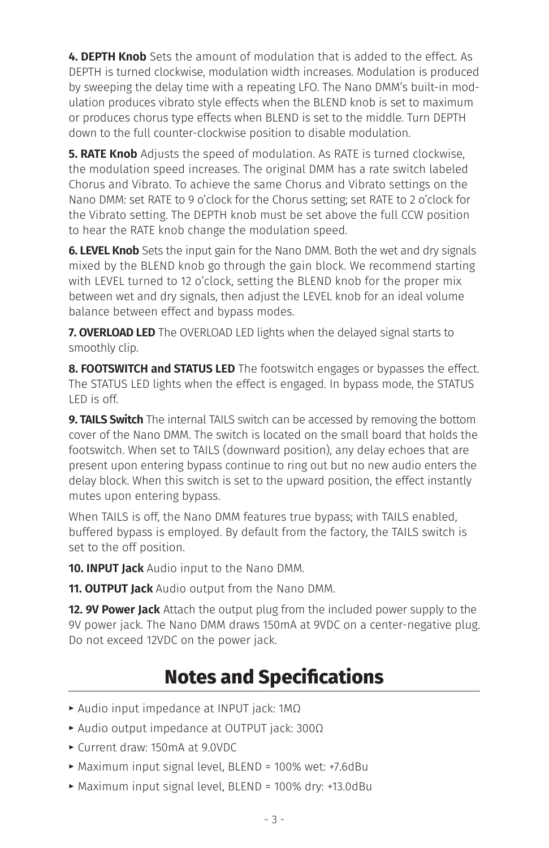**4. DEPTH Knob** Sets the amount of modulation that is added to the effect. As DEPTH is turned clockwise, modulation width increases. Modulation is produced by sweeping the delay time with a repeating LFO. The Nano DMM's built-in modulation produces vibrato style effects when the BLEND knob is set to maximum or produces chorus type effects when BLEND is set to the middle. Turn DEPTH down to the full counter-clockwise position to disable modulation.

**5. RATE Knob** Adjusts the speed of modulation. As RATE is turned clockwise, the modulation speed increases. The original DMM has a rate switch labeled Chorus and Vibrato. To achieve the same Chorus and Vibrato settings on the Nano DMM: set RATE to 9 o'clock for the Chorus setting; set RATE to 2 o'clock for the Vibrato setting. The DEPTH knob must be set above the full CCW position to hear the RATE knob change the modulation speed.

**6. LEVEL Knob** Sets the input gain for the Nano DMM. Both the wet and dry signals mixed by the BLEND knob go through the gain block. We recommend starting with LEVEL turned to 12 o'clock, setting the BLEND knob for the proper mix between wet and dry signals, then adjust the LEVEL knob for an ideal volume balance between effect and bypass modes.

**7. OVERLOAD LED** The OVERLOAD LED lights when the delayed signal starts to smoothly clip.

**8. FOOTSWITCH and STATUS LED** The footswitch engages or bypasses the effect. The STATUS LED lights when the effect is engaged. In bypass mode, the STATUS LED is off.

**9. TAILS Switch** The internal TAILS switch can be accessed by removing the bottom cover of the Nano DMM. The switch is located on the small board that holds the footswitch. When set to TAILS (downward position), any delay echoes that are present upon entering bypass continue to ring out but no new audio enters the delay block. When this switch is set to the upward position, the effect instantly mutes upon entering bypass.

When TAILS is off, the Nano DMM features true bypass; with TAILS enabled, buffered bypass is employed. By default from the factory, the TAILS switch is set to the off position.

**10. INPUT Jack** Audio input to the Nano DMM.

**11. OUTPUT Jack** Audio output from the Nano DMM.

**12. 9V Power Jack** Attach the output plug from the included power supply to the 9V power jack. The Nano DMM draws 150mA at 9VDC on a center-negative plug. Do not exceed 12VDC on the power jack.

# **Notes and Specifications**

- **t** Audio input impedance at INPUT jack: 1MΩ
- **t** Audio output impedance at OUTPUT jack: 300Ω
- **t** Current draw: 150mA at 9.0VDC
- **t** Maximum input signal level, BLEND = 100% wet: +7.6dBu
- **t** Maximum input signal level, BLEND = 100% dry: +13.0dBu